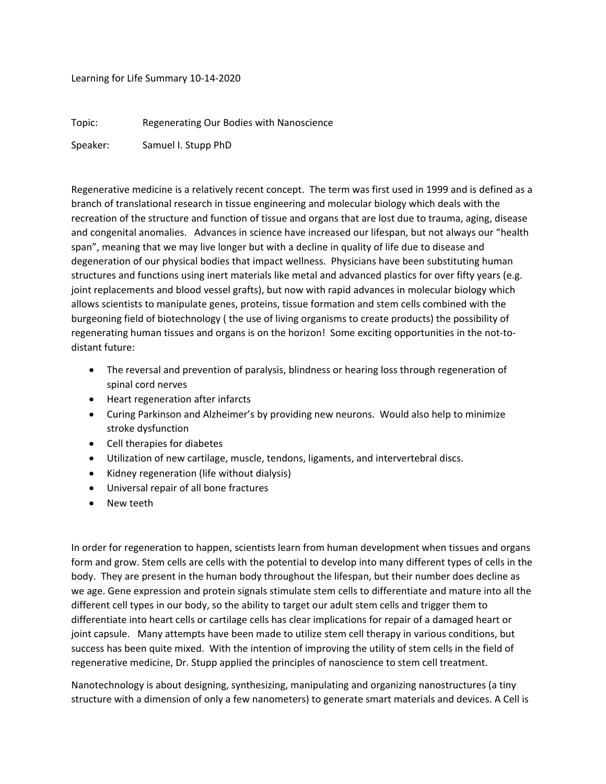Learning for Life Summary 10-14-2020

Topic: Regenerating Our Bodies with Nanoscience

Speaker: Samuel I. Stupp PhD

Regenerative medicine is a relatively recent concept. The term was first used in 1999 and is defined as a branch of translational research in tissue engineering and molecular biology which deals with the recreation of the structure and function of tissue and organs that are lost due to trauma, aging, disease and congenital anomalies. Advances in science have increased our lifespan, but not always our "health span", meaning that we may live longer but with a decline in quality of life due to disease and degeneration of our physical bodies that impact wellness. Physicians have been substituting human structures and functions using inert materials like metal and advanced plastics for over fifty years (e.g. joint replacements and blood vessel grafts), but now with rapid advances in molecular biology which allows scientists to manipulate genes, proteins, tissue formation and stem cells combined with the burgeoning field of biotechnology ( the use of living organisms to create products) the possibility of regenerating human tissues and organs is on the horizon! Some exciting opportunities in the not-todistant future:

- The reversal and prevention of paralysis, blindness or hearing loss through regeneration of spinal cord nerves
- Heart regeneration after infarcts
- Curing Parkinson and Alzheimer's by providing new neurons. Would also help to minimize stroke dysfunction
- Cell therapies for diabetes
- Utilization of new cartilage, muscle, tendons, ligaments, and intervertebral discs.
- Kidney regeneration (life without dialysis)
- Universal repair of all bone fractures
- New teeth

In order for regeneration to happen, scientists learn from human development when tissues and organs form and grow. Stem cells are cells with the potential to develop into many different types of cells in the body. They are present in the human body throughout the lifespan, but their number does decline as we age. Gene expression and protein signals stimulate stem cells to differentiate and mature into all the different cell types in our body, so the ability to target our adult stem cells and trigger them to differentiate into heart cells or cartilage cells has clear implications for repair of a damaged heart or joint capsule. Many attempts have been made to utilize stem cell therapy in various conditions, but success has been quite mixed. With the intention of improving the utility of stem cells in the field of regenerative medicine, Dr. Stupp applied the principles of nanoscience to stem cell treatment.

Nanotechnology is about designing, synthesizing, manipulating and organizing nanostructures (a tiny structure with a dimension of only a few nanometers) to generate smart materials and devices. A Cell is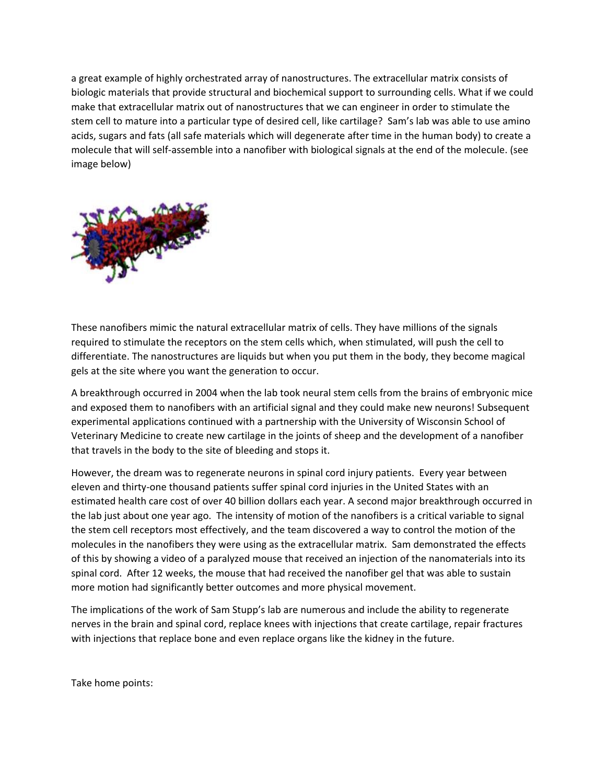a great example of highly orchestrated array of nanostructures. The extracellular matrix consists of biologic materials that provide structural and biochemical support to surrounding cells. What if we could make that extracellular matrix out of nanostructures that we can engineer in order to stimulate the stem cell to mature into a particular type of desired cell, like cartilage? Sam's lab was able to use amino acids, sugars and fats (all safe materials which will degenerate after time in the human body) to create a molecule that will self-assemble into a nanofiber with biological signals at the end of the molecule. (see image below)



These nanofibers mimic the natural extracellular matrix of cells. They have millions of the signals required to stimulate the receptors on the stem cells which, when stimulated, will push the cell to differentiate. The nanostructures are liquids but when you put them in the body, they become magical gels at the site where you want the generation to occur.

A breakthrough occurred in 2004 when the lab took neural stem cells from the brains of embryonic mice and exposed them to nanofibers with an artificial signal and they could make new neurons! Subsequent experimental applications continued with a partnership with the University of Wisconsin School of Veterinary Medicine to create new cartilage in the joints of sheep and the development of a nanofiber that travels in the body to the site of bleeding and stops it.

However, the dream was to regenerate neurons in spinal cord injury patients. Every year between eleven and thirty-one thousand patients suffer spinal cord injuries in the United States with an estimated health care cost of over 40 billion dollars each year. A second major breakthrough occurred in the lab just about one year ago. The intensity of motion of the nanofibers is a critical variable to signal the stem cell receptors most effectively, and the team discovered a way to control the motion of the molecules in the nanofibers they were using as the extracellular matrix. Sam demonstrated the effects of this by showing a video of a paralyzed mouse that received an injection of the nanomaterials into its spinal cord. After 12 weeks, the mouse that had received the nanofiber gel that was able to sustain more motion had significantly better outcomes and more physical movement.

The implications of the work of Sam Stupp's lab are numerous and include the ability to regenerate nerves in the brain and spinal cord, replace knees with injections that create cartilage, repair fractures with injections that replace bone and even replace organs like the kidney in the future.

Take home points: